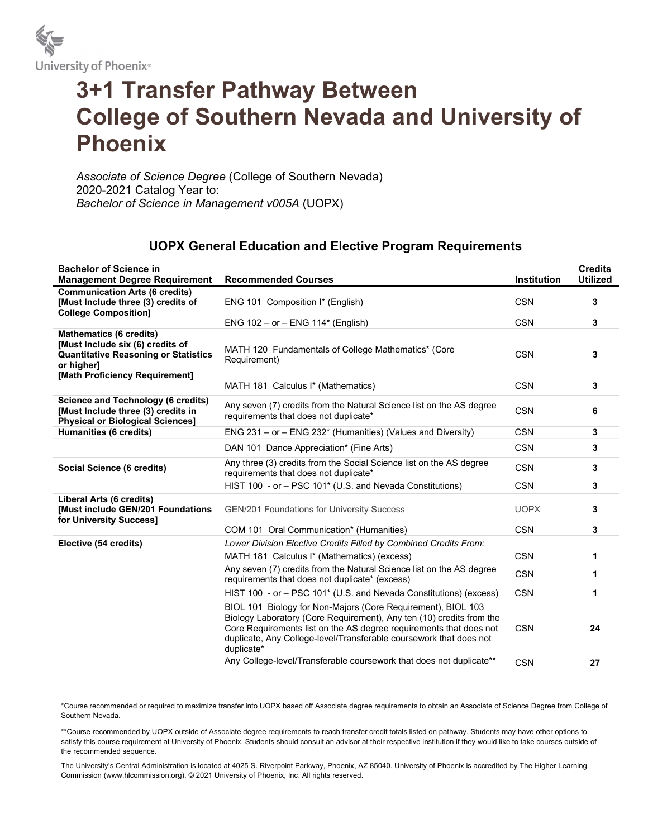

## 3+1 Transfer Pathway Between College of Southern Nevada and University of Phoenix

Associate of Science Degree (College of Southern Nevada) 2020-2021 Catalog Year to: Bachelor of Science in Management v005A (UOPX)

## UOPX General Education and Elective Program Requirements

| <b>Bachelor of Science in</b><br><b>Management Degree Requirement</b>                                                                                             | <b>Recommended Courses</b>                                                                                                                                                                                                                                                                     | <b>Institution</b> | <b>Credits</b><br><b>Utilized</b> |
|-------------------------------------------------------------------------------------------------------------------------------------------------------------------|------------------------------------------------------------------------------------------------------------------------------------------------------------------------------------------------------------------------------------------------------------------------------------------------|--------------------|-----------------------------------|
| <b>Communication Arts (6 credits)</b><br>[Must Include three (3) credits of<br><b>College Composition]</b>                                                        | ENG 101 Composition I* (English)                                                                                                                                                                                                                                                               | <b>CSN</b>         | 3                                 |
|                                                                                                                                                                   | ENG $102 - or - ENG 114*$ (English)                                                                                                                                                                                                                                                            | <b>CSN</b>         | 3                                 |
| <b>Mathematics (6 credits)</b><br>[Must Include six (6) credits of<br><b>Quantitative Reasoning or Statistics</b><br>or higher]<br>[Math Proficiency Requirement] | MATH 120 Fundamentals of College Mathematics* (Core<br>Requirement)                                                                                                                                                                                                                            | <b>CSN</b>         | 3                                 |
|                                                                                                                                                                   | MATH 181 Calculus I* (Mathematics)                                                                                                                                                                                                                                                             | <b>CSN</b>         | 3                                 |
| <b>Science and Technology (6 credits)</b><br>[Must Include three (3) credits in<br><b>Physical or Biological Sciences]</b>                                        | Any seven (7) credits from the Natural Science list on the AS degree<br>requirements that does not duplicate*                                                                                                                                                                                  | <b>CSN</b>         | 6                                 |
| Humanities (6 credits)                                                                                                                                            | ENG $231 - or - ENG 232*$ (Humanities) (Values and Diversity)                                                                                                                                                                                                                                  | <b>CSN</b>         | 3                                 |
|                                                                                                                                                                   | DAN 101 Dance Appreciation* (Fine Arts)                                                                                                                                                                                                                                                        | <b>CSN</b>         | 3                                 |
| Social Science (6 credits)                                                                                                                                        | Any three (3) credits from the Social Science list on the AS degree<br>requirements that does not duplicate*                                                                                                                                                                                   | <b>CSN</b>         | 3                                 |
|                                                                                                                                                                   | HIST 100 - or - PSC 101* (U.S. and Nevada Constitutions)                                                                                                                                                                                                                                       | <b>CSN</b>         | 3                                 |
| Liberal Arts (6 credits)<br><b>[Must include GEN/201 Foundations</b><br>for University Success]                                                                   | GEN/201 Foundations for University Success                                                                                                                                                                                                                                                     | <b>UOPX</b>        | 3                                 |
|                                                                                                                                                                   | COM 101 Oral Communication* (Humanities)                                                                                                                                                                                                                                                       | <b>CSN</b>         | 3                                 |
| Elective (54 credits)                                                                                                                                             | Lower Division Elective Credits Filled by Combined Credits From:                                                                                                                                                                                                                               |                    |                                   |
|                                                                                                                                                                   | MATH 181 Calculus I* (Mathematics) (excess)                                                                                                                                                                                                                                                    | <b>CSN</b>         | 1                                 |
|                                                                                                                                                                   | Any seven (7) credits from the Natural Science list on the AS degree<br>requirements that does not duplicate* (excess)                                                                                                                                                                         | <b>CSN</b>         | 1                                 |
|                                                                                                                                                                   | HIST 100 - or - PSC 101 <sup>*</sup> (U.S. and Nevada Constitutions) (excess)                                                                                                                                                                                                                  | <b>CSN</b>         | 1                                 |
|                                                                                                                                                                   | BIOL 101 Biology for Non-Majors (Core Requirement), BIOL 103<br>Biology Laboratory (Core Requirement), Any ten (10) credits from the<br>Core Requirements list on the AS degree requirements that does not<br>duplicate, Any College-level/Transferable coursework that does not<br>duplicate* | <b>CSN</b>         | 24                                |
|                                                                                                                                                                   | Any College-level/Transferable coursework that does not duplicate**                                                                                                                                                                                                                            | <b>CSN</b>         | 27                                |

\*Course recommended or required to maximize transfer into UOPX based off Associate degree requirements to obtain an Associate of Science Degree from College of Southern Nevada.

\*\*Course recommended by UOPX outside of Associate degree requirements to reach transfer credit totals listed on pathway. Students may have other options to satisfy this course requirement at University of Phoenix. Students should consult an advisor at their respective institution if they would like to take courses outside of the recommended sequence.

The University's Central Administration is located at 4025 S. Riverpoint Parkway, Phoenix, AZ 85040. University of Phoenix is accredited by The Higher Learning Commission (www.hlcommission.org). © 2021 University of Phoenix, Inc. All rights reserved.